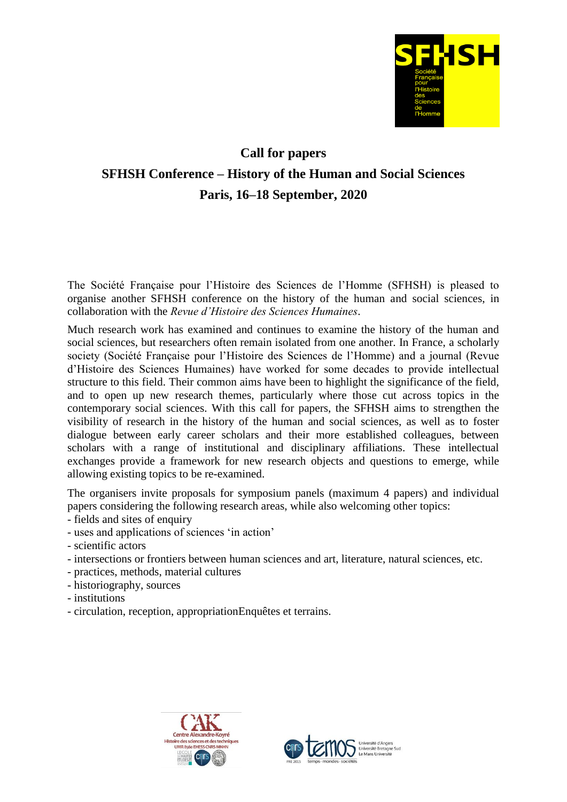

## **Call for papers SFHSH Conference – History of the Human and Social Sciences Paris, 16–18 September, 2020**

The Société Française pour l'Histoire des Sciences de l'Homme (SFHSH) is pleased to organise another SFHSH conference on the history of the human and social sciences, in collaboration with the *Revue d'Histoire des Sciences Humaines*.

Much research work has examined and continues to examine the history of the human and social sciences, but researchers often remain isolated from one another. In France, a scholarly society (Société Française pour l'Histoire des Sciences de l'Homme) and a journal (Revue d'Histoire des Sciences Humaines) have worked for some decades to provide intellectual structure to this field. Their common aims have been to highlight the significance of the field, and to open up new research themes, particularly where those cut across topics in the contemporary social sciences. With this call for papers, the SFHSH aims to strengthen the visibility of research in the history of the human and social sciences, as well as to foster dialogue between early career scholars and their more established colleagues, between scholars with a range of institutional and disciplinary affiliations. These intellectual exchanges provide a framework for new research objects and questions to emerge, while allowing existing topics to be re-examined.

The organisers invite proposals for symposium panels (maximum 4 papers) and individual papers considering the following research areas, while also welcoming other topics:

- fields and sites of enquiry
- uses and applications of sciences 'in action'
- scientific actors
- intersections or frontiers between human sciences and art, literature, natural sciences, etc.
- practices, methods, material cultures
- historiography, sources
- institutions
- circulation, reception, appropriationEnquêtes et terrains.